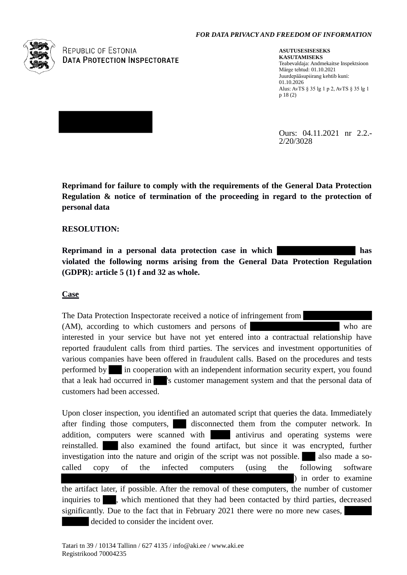#### *FOR DATA PRIVACY AND FREEDOM OF INFORMATION*



**REPUBLIC OF ESTONIA DATA PROTECTION INSPECTORATE** 

**ASUTUSESISESEKS KASUTAMISEKS** Teabevaldaja: Andmekaitse Inspektsioon Märge tehtud: 01.10.2021 Juurdepääsupiirang kehtib kuni: 01.10.2026 Alus: AvTS § 35 lg 1 p 2, AvTS § 35 lg 1 p 18 (2)

Ours: 04.11.2021 nr 2.2.- 2/20/3028

**Reprimand for failure to comply with the requirements of the General Data Protection Regulation & notice of termination of the proceeding in regard to the protection of personal data**

## **RESOLUTION:**

**Reprimand in a personal data protection case in which has violated the following norms arising from the General Data Protection Regulation (GDPR): article 5 (1) f and 32 as whole.**

### **Case**

The Data Protection Inspectorate received a notice of infringement from (AM), according to which customers and persons of who are interested in your service but have not yet entered into a contractual relationship have reported fraudulent calls from third parties. The services and investment opportunities of various companies have been offered in fraudulent calls. Based on the procedures and tests performed by in cooperation with an independent information security expert, you found that a leak had occurred in 's customer management system and that the personal data of customers had been accessed.

Upon closer inspection, you identified an automated script that queries the data. Immediately after finding those computers, disconnected them from the computer network. In addition, computers were scanned with antivirus and operating systems were reinstalled. also examined the found artifact, but since it was encrypted, further investigation into the nature and origin of the script was not possible. Also made a socalled copy of the infected computers (using the following software ) in order to examine the artifact later, if possible. After the removal of these computers, the number of customer inquiries to , which mentioned that they had been contacted by third parties, decreased significantly. Due to the fact that in February 2021 there were no more new cases, decided to consider the incident over.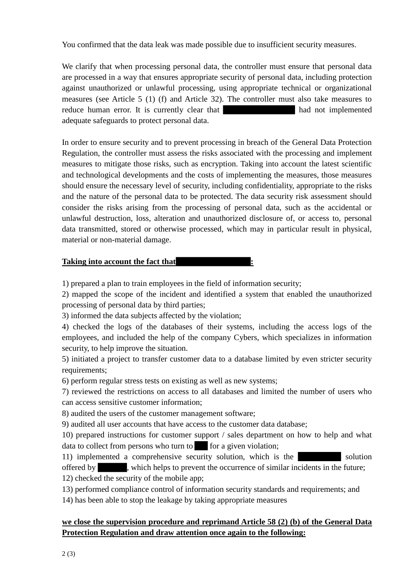You confirmed that the data leak was made possible due to insufficient security measures.

We clarify that when processing personal data, the controller must ensure that personal data are processed in a way that ensures appropriate security of personal data, including protection against unauthorized or unlawful processing, using appropriate technical or organizational measures (see Article 5 (1) (f) and Article 32). The controller must also take measures to reduce human error. It is currently clear that had not implemented adequate safeguards to protect personal data.

In order to ensure security and to prevent processing in breach of the General Data Protection Regulation, the controller must assess the risks associated with the processing and implement measures to mitigate those risks, such as encryption. Taking into account the latest scientific and technological developments and the costs of implementing the measures, those measures should ensure the necessary level of security, including confidentiality, appropriate to the risks and the nature of the personal data to be protected. The data security risk assessment should consider the risks arising from the processing of personal data, such as the accidental or unlawful destruction, loss, alteration and unauthorized disclosure of, or access to, personal data transmitted, stored or otherwise processed, which may in particular result in physical, material or non-material damage.

## **Taking into account the fact that :**

1) prepared a plan to train employees in the field of information security;

2) mapped the scope of the incident and identified a system that enabled the unauthorized processing of personal data by third parties;

3) informed the data subjects affected by the violation;

4) checked the logs of the databases of their systems, including the access logs of the employees, and included the help of the company Cybers, which specializes in information security, to help improve the situation.

5) initiated a project to transfer customer data to a database limited by even stricter security requirements;

6) perform regular stress tests on existing as well as new systems;

7) reviewed the restrictions on access to all databases and limited the number of users who can access sensitive customer information;

8) audited the users of the customer management software;

9) audited all user accounts that have access to the customer data database;

10) prepared instructions for customer support / sales department on how to help and what  $data to collect from persons who turn to for a given violation;$ 

11) implemented a comprehensive security solution, which is the solution offered by , which helps to prevent the occurrence of similar incidents in the future;

12) checked the security of the mobile app;

13) performed compliance control of information security standards and requirements; and

14) has been able to stop the leakage by taking appropriate measures

# **we close the supervision procedure and reprimand Article 58 (2) (b) of the General Data Protection Regulation and draw attention once again to the following:**